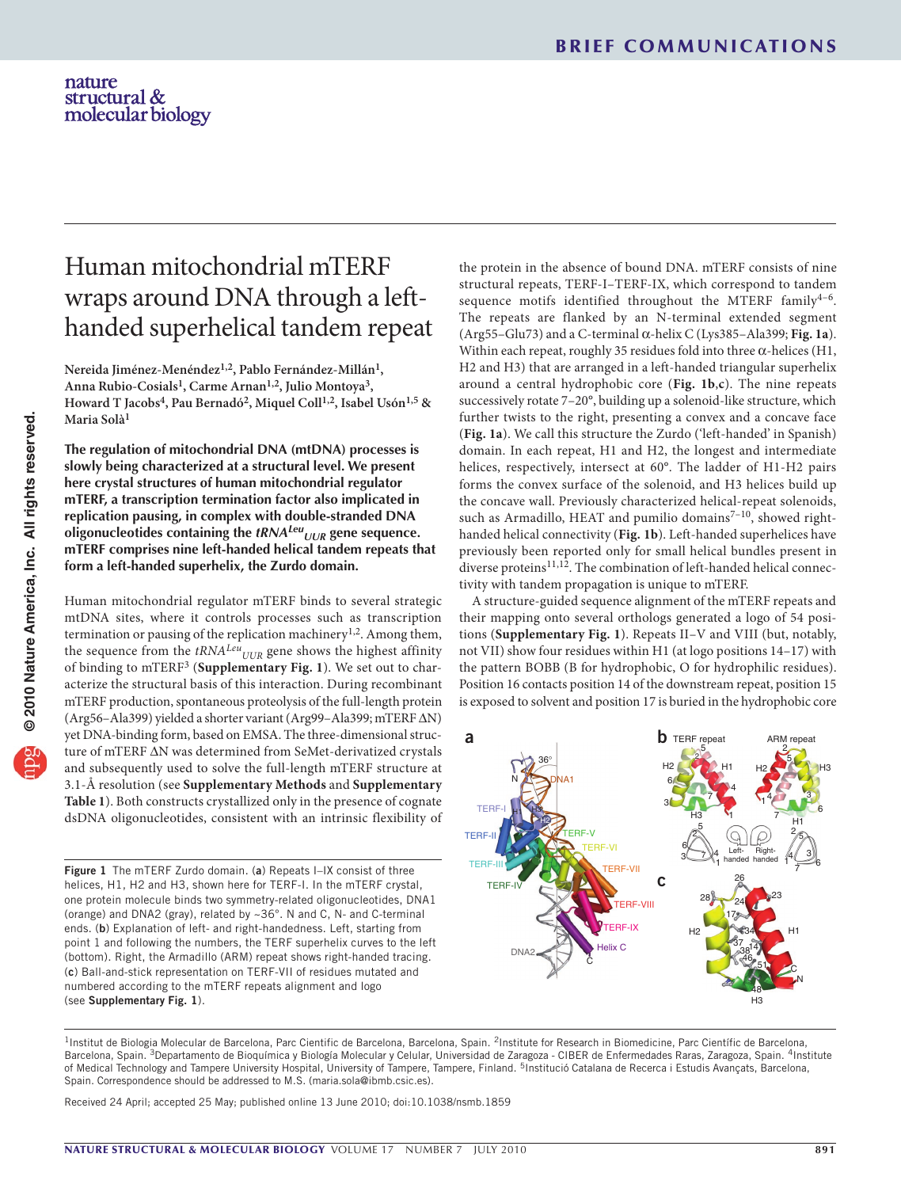# Human mitochondrial mTERF wraps around DNA through a lefthanded superhelical tandem repeat

Nereida Jiménez-Menéndez<sup>1,2</sup>, Pablo Fernández-Millán<sup>1</sup>, **Anna Rubio-Cosials1, Carme Arnan1,2, Julio Montoya3, Howard T Jacobs4, Pau Bernadó2, Miquel Coll1,2, Isabel Usón1,5 & Maria Solà1**

**The regulation of mitochondrial DNA (mtDNA) processes is slowly being characterized at a structural level. We present here crystal structures of human mitochondrial regulator mTERF, a transcription termination factor also implicated in replication pausing, in complex with double-stranded DNA oligonucleotides containing the** *tRNALeu UUR* **gene sequence. mTERF comprises nine left-handed helical tandem repeats that form a left-handed superhelix, the Zurdo domain.**

Human mitochondrial regulator mTERF binds to several strategic mtDNA sites, where it controls processes such as transcription termination or pausing of the replication machinery<sup>1,2</sup>. Among them, the sequence from the *tRNA<sup>Leu</sup>UUR* gene shows the highest affinity of binding to mTERF[3](#page-2-0) (**Supplementary Fig. 1**). We set out to characterize the structural basis of this interaction. During recombinant mTERF production, spontaneous proteolysis of the full-length protein (Arg56–Ala399) yielded a shorter variant (Arg99–Ala399; mTERF ΔN) yet DNA-binding form, based on EMSA. The three-dimensional structure of mTERF ΔN was determined from SeMet-derivatized crystals and subsequently used to solve the full-length mTERF structure at 3.1-Å resolution (see **Supplementary Methods** and **Supplementary Table 1**). Both constructs crystallized only in the presence of cognate dsDNA oligonucleotides, consistent with an intrinsic flexibility of

<span id="page-0-0"></span>Figure 1 The mTERF Zurdo domain. (a) Repeats I-IX consist of three helices, H1, H2 and H3, shown here for TERF-I. In the mTERF crystal, one protein molecule binds two symmetry-related oligonucleotides, DNA1 (orange) and DNA2 (gray), related by ~36°. N and C, N- and C-terminal ends. (b) Explanation of left- and right-handedness. Left, starting from point 1 and following the numbers, the TERF superhelix curves to the left (bottom). Right, the Armadillo (ARM) repeat shows right-handed tracing. (c) Ball-and-stick representation on TERF-VII of residues mutated and numbered according to the mTERF repeats alignment and logo (see Supplementary Fig. 1).

the protein in the absence of bound DNA. mTERF consists of nine structural repeats, TERF-I–TERF-IX, which correspond to tandem sequence motifs identified throughout the MTERF family<sup>4-6</sup>. The repeats are flanked by an N-terminal extended segment (Arg55–Glu73) and a C-terminal α-helix C (Lys385–Ala399; **[Fig. 1a](#page-0-0)**). Within each repeat, roughly 35 residues fold into three  $\alpha$ -helices (H1, H2 and H3) that are arranged in a left-handed triangular superhelix around a central hydrophobic core (**[Fig. 1b](#page-0-0)**,**c**). The nine repeats successively rotate 7–20°, building up a solenoid-like structure, which further twists to the right, presenting a convex and a concave face (**[Fig. 1a](#page-0-0)**). We call this structure the Zurdo ('left-handed' in Spanish) domain. In each repeat, H1 and H2, the longest and intermediate helices, respectively, intersect at 60°. The ladder of H1-H2 pairs forms the convex surface of the solenoid, and H3 helices build up the concave wall. Previously characterized helical-repeat solenoids, such as Armadillo, HEAT and pumilio domains $7-10$ , showed righthanded helical connectivity (**[Fig.](#page-0-0) 1b**). Left-handed superhelices have previously been reported only for small helical bundles present in diverse proteins $^{11,12}$ . The combination of left-handed helical connectivity with tandem propagation is unique to mTERF.

A structure-guided sequence alignment of the mTERF repeats and their mapping onto several orthologs generated a logo of 54 positions (**Supplementary Fig. 1**). Repeats II–V and VIII (but, notably, not VII) show four residues within H1 (at logo positions 14–17) with the pattern BOBB (B for hydrophobic, O for hydrophilic residues). Position 16 contacts position 14 of the downstream repeat, position 15 is exposed to solvent and position 17 is buried in the hydrophobic core



<sup>1</sup>Institut de Biologia Molecular de Barcelona, Parc Cientific de Barcelona, Barcelona, Spain. <sup>2</sup>Institute for Research in Biomedicine, Parc Científic de Barcelona, Barcelona, Spain. <sup>3</sup>Departamento de Bioquímica y Biología Molecular y Celular, Universidad de Zaragoza - CIBER de Enfermedades Raras, Zaragoza, Spain. <sup>4</sup>Institute of Medical Technology and Tampere University Hospital, University of Tampere, Tampere, Finland. <sup>5</sup>Institució Catalana de Recerca i Estudis Avançats, Barcelona, Spain. Correspondence should be addressed to M.S. (maria.sola@ibmb.csic.es).

Received 24 April; accepted 25 May; published online 13 June 2010; [doi:10.1038/nsmb.1859](http://www.nature.com/doifinder/10.1038/nsmb.1859)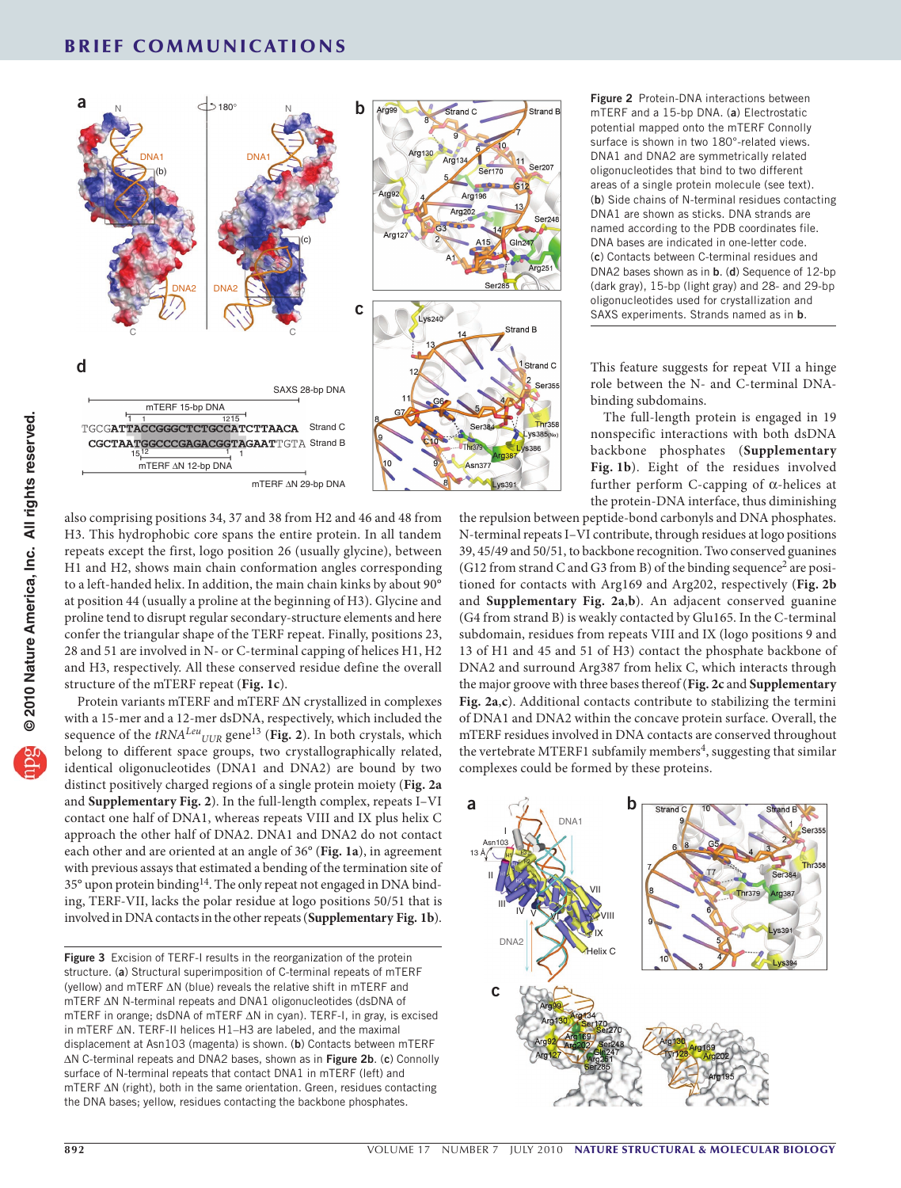

also comprising positions 34, 37 and 38 from H2 and 46 and 48 from H3. This hydrophobic core spans the entire protein. In all tandem repeats except the first, logo position 26 (usually glycine), between H1 and H2, shows main chain conformation angles corresponding to a left-handed helix. In addition, the main chain kinks by about 90° at position 44 (usually a proline at the beginning of H3). Glycine and proline tend to disrupt regular secondary-structure elements and here confer the triangular shape of the TERF repeat. Finally, positions 23, 28 and 51 are involved in N- or C-terminal capping of helices H1, H2 and H3, respectively. All these conserved residue define the overall structure of the mTERF repeat (**[Fig. 1c](#page-0-0)**).

Protein variants mTERF and mTERF ΔN crystallized in complexes with a 15-mer and a 12-mer dsDNA, respectively, which included the sequence of the  $tRNA^{Leu}$ <sub>UUR</sub> gene<sup>[13](#page-2-1)</sup> ([Fig. 2](#page-1-0)). In both crystals, which belong to different space groups, two crystallographically related, identical oligonucleotides (DNA1 and DNA2) are bound by two distinct positively charged regions of a single protein moiety (**[Fig.](#page-1-0) 2a** and **Supplementary Fig. 2**). In the full-length complex, repeats I–VI contact one half of DNA1, whereas repeats VIII and IX plus helix C approach the other half of DNA2. DNA1 and DNA2 do not contact each other and are oriented at an angle of 36° (**[Fig. 1a](#page-0-0)**), in agreement with previous assays that estimated a bending of the termination site of 35° upon protein bindin[g14.](#page-2-2) The only repeat not engaged in DNA binding, TERF-VII, lacks the polar residue at logo positions 50/51 that is involved in DNA contacts in the other repeats (**Supplementary Fig. 1b**).

<span id="page-1-0"></span>Figure 2 Protein-DNA interactions between mTERF and a 15-bp DNA. (a) Electrostatic potential mapped onto the mTERF Connolly surface is shown in two 180°-related views. DNA1 and DNA2 are symmetrically related oligonucleotides that bind to two different areas of a single protein molecule (see text). (b) Side chains of N-terminal residues contacting DNA1 are shown as sticks. DNA strands are named according to the PDB coordinates file. DNA bases are indicated in one-letter code. (c) Contacts between C-terminal residues and DNA2 bases shown as in b. (d) Sequence of 12-bp (dark gray), 15-bp (light gray) and 28- and 29-bp oligonucleotides used for crystallization and SAXS experiments. Strands named as in **b**.

This feature suggests for repeat VII a hinge role between the N- and C-terminal DNA-binding subdomains.

The full-length protein is engaged in 19 nonspecific interactions with both dsDNA backbone phosphates (**Supplementary Fig. 1b**). Eight of the residues involved further perform C-capping of α-helices at the protein-DNA interface, thus diminishing

the repulsion between peptide-bond carbonyls and DNA phosphates. N-terminal repeats I–VI contribute, through residues at logo positions 39, 45/49 and 50/51, to backbone recognition. Two conserved guanines (G1[2](#page-2-3) from strand C and G3 from B) of the binding sequence<sup>2</sup> are positioned for contacts with Arg169 and Arg202, respectively (**[Fig.](#page-1-0) 2b** and **Supplementary Fig. 2a**,**b**). An adjacent conserved guanine (G4 from strand B) is weakly contacted by Glu165. In the C-terminal subdomain, residues from repeats VIII and IX (logo positions 9 and 13 of H1 and 45 and 51 of H3) contact the phosphate backbone of DNA2 and surround Arg387 from helix C, which interacts through the major groove with three bases thereof (**[Fig. 2c](#page-1-0)** and **Supplementary Fig. 2a**,**c**). Additional contacts contribute to stabilizing the termini of DNA1 and DNA2 within the concave protein surface. Overall, the mTERF residues involved in DNA contacts are conserved throughout the vertebrate MTERF1 subfamily members<sup>[4](#page-2-4)</sup>, suggesting that similar complexes could be formed by these proteins.



<span id="page-1-1"></span>Figure 3 Excision of TERF-I results in the reorganization of the protein structure. (a) Structural superimposition of C-terminal repeats of mTERF (yellow) and mTERF ΔN (blue) reveals the relative shift in mTERF and mTERF ΔN N-terminal repeats and DNA1 oligonucleotides (dsDNA of mTERF in orange; dsDNA of mTERF ΔN in cyan). TERF-I, in gray, is excised in mTERF ΔN. TERF-II helices H1–H3 are labeled, and the maximal displacement at Asn103 (magenta) is shown. (b) Contacts between mTERF ΔN C-terminal repeats and DNA2 bases, shown as in [Figure 2b](#page-1-0). (c) Connolly surface of N-terminal repeats that contact DNA1 in mTERF (left) and mTERF ΔN (right), both in the same orientation. Green, residues contacting the DNA bases; yellow, residues contacting the backbone phosphates.